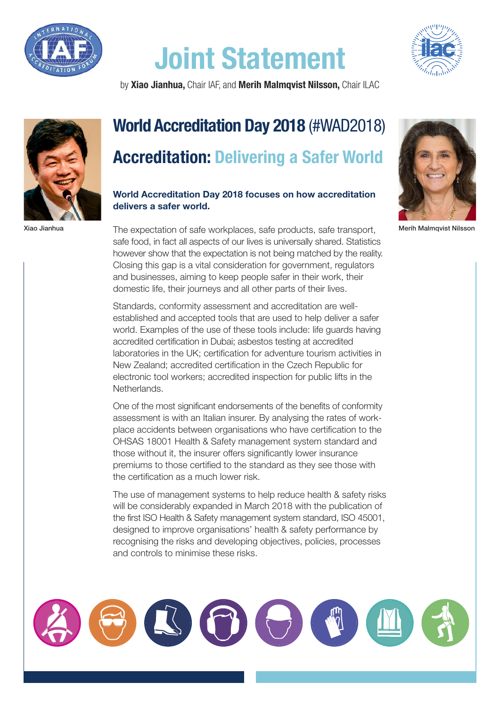

## **Joint Statement**



by **Xiao Jianhua,** Chair IAF, and **Merih Malmqvist Nilsson,** Chair ILAC



## **World Accreditation Day 2018** (#WAD2018) **Accreditation: Delivering a Safer World**

## **World Accreditation Day 2018 focuses on how accreditation delivers a safer world.**

Xiao Jianhua **Meric Concept The expectation of safe workplaces**, safe products, safe transport, Merih Malmqvist Nilsson safe food, in fact all aspects of our lives is universally shared. Statistics however show that the expectation is not being matched by the reality. Closing this gap is a vital consideration for government, regulators and businesses, aiming to keep people safer in their work, their domestic life, their journeys and all other parts of their lives.

> Standards, conformity assessment and accreditation are wellestablished and accepted tools that are used to help deliver a safer world. Examples of the use of these tools include: life guards having accredited certification in Dubai; asbestos testing at accredited laboratories in the UK; certification for adventure tourism activities in New Zealand; accredited certification in the Czech Republic for electronic tool workers; accredited inspection for public lifts in the Netherlands.

> One of the most significant endorsements of the benefits of conformity assessment is with an Italian insurer. By analysing the rates of workplace accidents between organisations who have certification to the OHSAS 18001 Health & Safety management system standard and those without it, the insurer offers significantly lower insurance premiums to those certified to the standard as they see those with the certification as a much lower risk.

The use of management systems to help reduce health & safety risks will be considerably expanded in March 2018 with the publication of the first ISO Health & Safety management system standard, ISO 45001, designed to improve organisations' health & safety performance by recognising the risks and developing objectives, policies, processes and controls to minimise these risks.